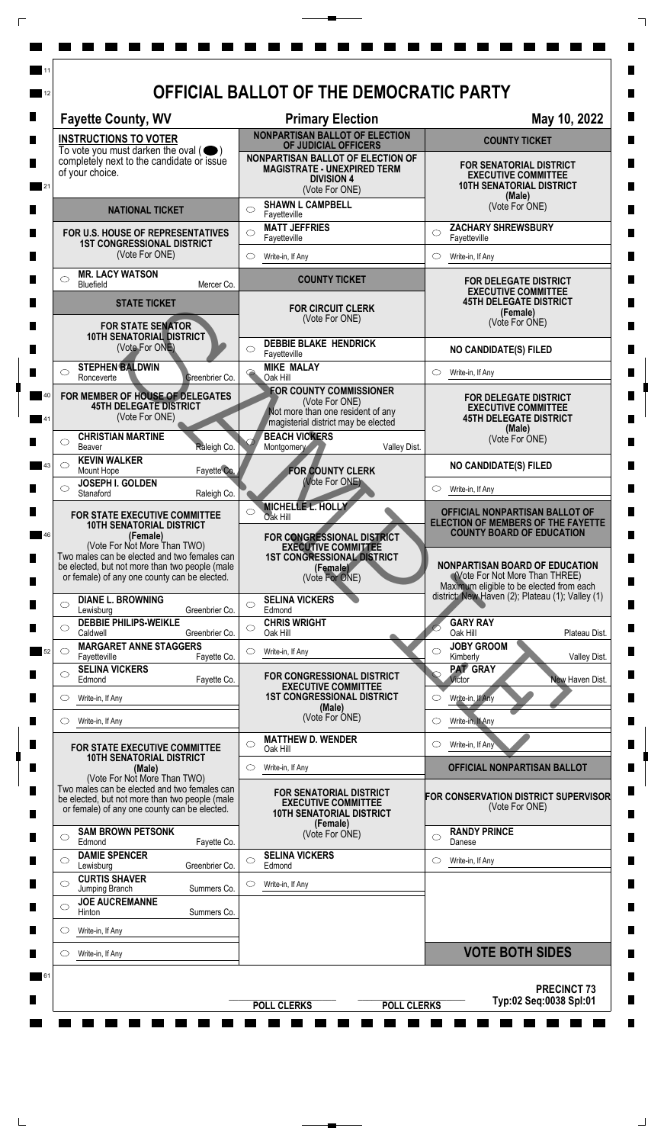| <b>Fayette County, WV</b>                                                                                                                                                                                                                                             | <b>Primary Election</b>                                                                                                                                      | May 10, 2022                                                                                                                                                                                                                           |
|-----------------------------------------------------------------------------------------------------------------------------------------------------------------------------------------------------------------------------------------------------------------------|--------------------------------------------------------------------------------------------------------------------------------------------------------------|----------------------------------------------------------------------------------------------------------------------------------------------------------------------------------------------------------------------------------------|
| <b>INSTRUCTIONS TO VOTER</b>                                                                                                                                                                                                                                          | <b>NONPARTISAN BALLOT OF ELECTION</b><br>OF JUDICIAL OFFICERS                                                                                                | <b>COUNTY TICKET</b>                                                                                                                                                                                                                   |
| To vote you must darken the oval $($<br>completely next to the candidate or issue<br>of your choice.                                                                                                                                                                  | NONPARTISAN BALLOT OF ELECTION OF<br><b>MAGISTRATE - UNEXPIRED TERM</b><br><b>DIVISION 4</b><br>(Vote For ONE)                                               | <b>FOR SENATORIAL DISTRICT</b><br><b>EXECUTIVE COMMITTEE</b><br><b>10TH SENATORIAL DISTRICT</b><br>(Male)                                                                                                                              |
| <b>NATIONAL TICKET</b>                                                                                                                                                                                                                                                | <b>SHAWN L CAMPBELL</b><br>◯<br>Fayetteville                                                                                                                 | (Vote For ONE)                                                                                                                                                                                                                         |
| FOR U.S. HOUSE OF REPRESENTATIVES<br><b>1ST CONGRESSIONAL DISTRICT</b>                                                                                                                                                                                                | <b>MATT JEFFRIES</b><br>Fayetteville                                                                                                                         | <b>ZACHARY SHREWSBURY</b><br>◯<br>Fayetteville                                                                                                                                                                                         |
| (Vote For ONE)                                                                                                                                                                                                                                                        | $\circ$<br>Write-in, If Any                                                                                                                                  | $\circ$<br>Write-in, If Any                                                                                                                                                                                                            |
| <b>MR. LACY WATSON</b><br>$\circ$<br>Bluefield<br>Mercer Co.                                                                                                                                                                                                          | <b>COUNTY TICKET</b>                                                                                                                                         | <b>FOR DELEGATE DISTRICT</b><br><b>EXECUTIVE COMMITTEE</b>                                                                                                                                                                             |
| <b>STATE TICKET</b><br><b>FOR STATE SENATOR</b>                                                                                                                                                                                                                       | <b>FOR CIRCUIT CLERK</b><br>(Vote For ONE)                                                                                                                   | <b>45TH DELEGATE DISTRICT</b><br>(Female)<br>(Vote For ONE)                                                                                                                                                                            |
| <b>10TH SENATORIAL DISTRICT</b><br>(Vote For ONE)                                                                                                                                                                                                                     | <b>DEBBIE BLAKE HENDRICK</b><br>Fayetteville                                                                                                                 | <b>NO CANDIDATE(S) FILED</b>                                                                                                                                                                                                           |
| <b>STEPHEN BALDWIN</b><br>◯<br>Ronceverte<br>Greenbrier Co.                                                                                                                                                                                                           | <b>MIKE MALAY</b><br>$\ddot{\phantom{1}}$<br>Oak Hill                                                                                                        | Write-in, If Any<br>O                                                                                                                                                                                                                  |
| FOR MEMBER OF HOUSE OF DELEGATES<br><b>45TH DELEGATE DISTRICT</b><br>(Vote For ONE)                                                                                                                                                                                   | <b>FOR COUNTY COMMISSIONER</b><br>(Vote For ONE)<br>Not more than one resident of any<br>magisterial district may be elected                                 | <b>FOR DELEGATE DISTRICT</b><br><b>EXECUTIVE COMMITTEE</b><br><b>45TH DELEGATE DISTRICT</b><br>(Male)                                                                                                                                  |
| <b>CHRISTIAN MARTINE</b><br>◯<br>Raleigh Co.<br>Beaver                                                                                                                                                                                                                | <b>BEACH VICKERS</b><br>Valley Dist.<br>Montgomery                                                                                                           | (Vote For ONE)                                                                                                                                                                                                                         |
| <b>KEVIN WALKER</b><br>◯<br>Fayette Co.<br>Mount Hope                                                                                                                                                                                                                 | <b>FOR COUNTY CLERK</b>                                                                                                                                      | <b>NO CANDIDATE(S) FILED</b>                                                                                                                                                                                                           |
| JOSEPH I. GOLDEN<br>Stanaford<br>Raleigh Co.                                                                                                                                                                                                                          | (Vote For ONE)                                                                                                                                               | Write-in, If Any                                                                                                                                                                                                                       |
| <b>FOR STATE EXECUTIVE COMMITTEE</b><br><b>10TH SENATORIAL DISTRICT</b><br>(Female)<br>(Vote For Not More Than TWO)<br>Two males can be elected and two females can<br>be elected, but not more than two people (male<br>or female) of any one county can be elected. | MICHELLE L. HOLLY<br>Oak Hill<br>FOR CONGRESSIONAL DISTRICT<br><b>EXECUTIVE COMMITTEE</b><br><b>1ST CONGRESSIONAL DISTRICT</b><br>(Female)<br>(Vote For ONE) | OFFICIAL NONPARTISAN BALLOT OF<br><b>ELECTION OF MEMBERS OF THE FAYETTE</b><br><b>COUNTY BOARD OF EDUCATION</b><br><b>NONPARTISAN BOARD OF EDUCATION</b><br>(Vote For Not More Than THREE)<br>Maximum eligible to be elected from each |
| <b>DIANE L. BROWNING</b><br>$\circ$<br>Lewisburg<br>Greenbrier Co.                                                                                                                                                                                                    | <b>SELINA VICKERS</b><br>◯<br>Edmond                                                                                                                         | district: New Haven (2); Plateau (1); Valley (1)                                                                                                                                                                                       |
| <b>DEBBIE PHILIPS-WEIKLE</b><br>$\circ$<br>Caldwell<br>Greenbrier Co.                                                                                                                                                                                                 | <b>CHRIS WRIGHT</b><br>$\bigcirc$<br>Oak Hill                                                                                                                | <b>GARY RAY</b><br>Oak Hill<br>Plateau Dist.                                                                                                                                                                                           |
| <b>MARGARET ANNE STAGGERS</b><br>◯<br>Fayetteville<br>Fayette Co.                                                                                                                                                                                                     | Write-in, If Any<br>O                                                                                                                                        | <b>JOBY GROOM</b><br>◯<br>Kimberly<br>Valley Dist.                                                                                                                                                                                     |
| <b>SELINA VICKERS</b><br>$\circ$<br>Edmond<br>Fayette Co.                                                                                                                                                                                                             | FOR CONGRESSIONAL DISTRICT                                                                                                                                   | <b>PAT GRAY</b><br>Victor<br>New Haven Dist.                                                                                                                                                                                           |
| Write-in, If Any<br>$\circ$                                                                                                                                                                                                                                           | <b>EXECUTIVE COMMITTEE</b><br><b>1ST CONGRESSIONAL DISTRICT</b><br>(Male)                                                                                    | Write-in, If Any<br>◯                                                                                                                                                                                                                  |
| Write-in, If Any<br>O                                                                                                                                                                                                                                                 | (Vote For ONE)                                                                                                                                               | Write-in, If Any                                                                                                                                                                                                                       |
| <b>FOR STATE EXECUTIVE COMMITTEE</b><br><b>10TH SENATORIAL DISTRICT</b>                                                                                                                                                                                               | <b>MATTHEW D. WENDER</b><br>⌒<br>Oak Hill                                                                                                                    | Write-in, If Any<br>$\circlearrowright$                                                                                                                                                                                                |
| (Male)<br>(Vote For Not More Than TWO)                                                                                                                                                                                                                                | Write-in, If Any<br>O                                                                                                                                        | OFFICIAL NONPARTISAN BALLOT                                                                                                                                                                                                            |
| Two males can be elected and two females can<br>be elected, but not more than two people (male<br>or female) of any one county can be elected.                                                                                                                        | <b>FOR SENATORIAL DISTRICT</b><br><b>EXECUTIVE COMMITTEE</b><br><b>10TH SENATORIAL DISTRICT</b>                                                              | FOR CONSERVATION DISTRICT SUPERVISOR<br>(Vote For ONE)                                                                                                                                                                                 |
| <b>SAM BROWN PETSONK</b><br>$\circ$<br>Edmond<br>Fayette Co.                                                                                                                                                                                                          | (Female)<br>(Vote For ONE)                                                                                                                                   | <b>RANDY PRINCE</b><br>◯<br>Danese                                                                                                                                                                                                     |
| <b>DAMIE SPENCER</b><br>$\circ$<br>Lewisburg<br>Greenbrier Co.                                                                                                                                                                                                        | <b>SELINA VICKERS</b><br>◯<br>Edmond                                                                                                                         | Write-in, If Any<br>O                                                                                                                                                                                                                  |
| <b>CURTIS SHAVER</b><br>$\bigcirc$<br>Jumping Branch<br>Summers Co.                                                                                                                                                                                                   | Write-in, If Any                                                                                                                                             |                                                                                                                                                                                                                                        |
| <b>JOE AUCREMANNE</b><br>$\circ$<br><b>Hinton</b><br>Summers Co.                                                                                                                                                                                                      |                                                                                                                                                              |                                                                                                                                                                                                                                        |
| Write-in, If Any<br>O                                                                                                                                                                                                                                                 |                                                                                                                                                              |                                                                                                                                                                                                                                        |
| Write-in, If Any<br>O                                                                                                                                                                                                                                                 |                                                                                                                                                              | <b>VOTE BOTH SIDES</b>                                                                                                                                                                                                                 |

 $\overline{\Gamma}$ 

 $\top$